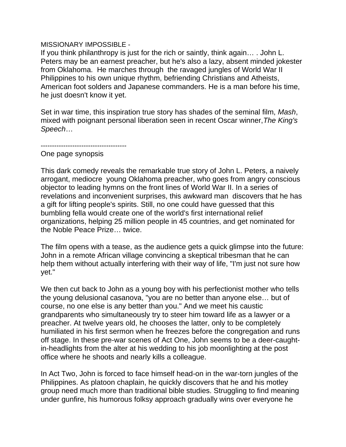## MISSIONARY IMPOSSIBLE -

If you think philanthropy is just for the rich or saintly, think again… . John L. Peters may be an earnest preacher, but he's also a lazy, absent minded jokester from Oklahoma. He marches through the ravaged jungles of World War II Philippines to his own unique rhythm, befriending Christians and Atheists, American foot solders and Japanese commanders. He is a man before his time, he just doesn't know it yet.

Set in war time, this inspiration true story has shades of the seminal film, Mash, mixed with poignant personal liberation seen in recent Oscar winner, The King's Speech…

--------------------------------------

One page synopsis

This dark comedy reveals the remarkable true story of John L. Peters, a naively arrogant, mediocre young Oklahoma preacher, who goes from angry conscious objector to leading hymns on the front lines of World War II. In a series of revelations and inconvenient surprises, this awkward man discovers that he has a gift for lifting people's spirits. Still, no one could have guessed that this bumbling fella would create one of the world's first international relief organizations, helping 25 million people in 45 countries, and get nominated for the Noble Peace Prize… twice.

The film opens with a tease, as the audience gets a quick glimpse into the future: John in a remote African village convincing a skeptical tribesman that he can help them without actually interfering with their way of life, "I'm just not sure how yet."

We then cut back to John as a young boy with his perfectionist mother who tells the young delusional casanova, "you are no better than anyone else… but of course, no one else is any better than you." And we meet his caustic grandparents who simultaneously try to steer him toward life as a lawyer or a preacher. At twelve years old, he chooses the latter, only to be completely humiliated in his first sermon when he freezes before the congregation and runs off stage. In these pre-war scenes of Act One, John seems to be a deer-caughtin-headlights from the alter at his wedding to his job moonlighting at the post office where he shoots and nearly kills a colleague.

In Act Two, John is forced to face himself head-on in the war-torn jungles of the Philippines. As platoon chaplain, he quickly discovers that he and his motley group need much more than traditional bible studies. Struggling to find meaning under gunfire, his humorous folksy approach gradually wins over everyone he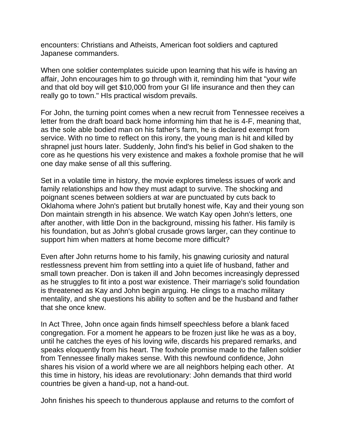encounters: Christians and Atheists, American foot soldiers and captured Japanese commanders.

When one soldier contemplates suicide upon learning that his wife is having an affair, John encourages him to go through with it, reminding him that "your wife and that old boy will get \$10,000 from your GI life insurance and then they can really go to town." HIs practical wisdom prevails.

For John, the turning point comes when a new recruit from Tennessee receives a letter from the draft board back home informing him that he is 4-F, meaning that, as the sole able bodied man on his father's farm, he is declared exempt from service. With no time to reflect on this irony, the young man is hit and killed by shrapnel just hours later. Suddenly, John find's his belief in God shaken to the core as he questions his very existence and makes a foxhole promise that he will one day make sense of all this suffering.

Set in a volatile time in history, the movie explores timeless issues of work and family relationships and how they must adapt to survive. The shocking and poignant scenes between soldiers at war are punctuated by cuts back to Oklahoma where John's patient but brutally honest wife, Kay and their young son Don maintain strength in his absence. We watch Kay open John's letters, one after another, with little Don in the background, missing his father. His family is his foundation, but as John's global crusade grows larger, can they continue to support him when matters at home become more difficult?

Even after John returns home to his family, his gnawing curiosity and natural restlessness prevent him from settling into a quiet life of husband, father and small town preacher. Don is taken ill and John becomes increasingly depressed as he struggles to fit into a post war existence. Their marriage's solid foundation is threatened as Kay and John begin arguing. He clings to a macho military mentality, and she questions his ability to soften and be the husband and father that she once knew.

In Act Three, John once again finds himself speechless before a blank faced congregation. For a moment he appears to be frozen just like he was as a boy, until he catches the eyes of his loving wife, discards his prepared remarks, and speaks eloquently from his heart. The foxhole promise made to the fallen soldier from Tennessee finally makes sense. With this newfound confidence, John shares his vision of a world where we are all neighbors helping each other. At this time in history, his ideas are revolutionary: John demands that third world countries be given a hand-up, not a hand-out.

John finishes his speech to thunderous applause and returns to the comfort of